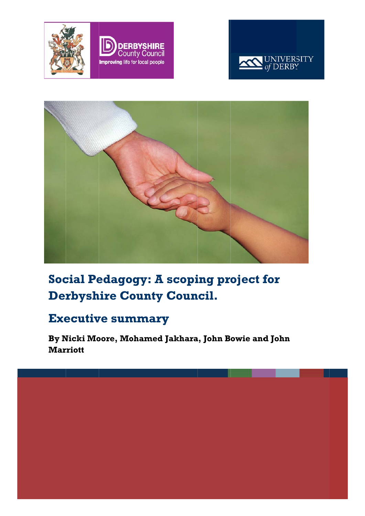





**County Council** 

**Improving life for local people** 

# **Social Pedagogy: A scoping project for Derbyshire County Council.**

# **Executive summary**

**By N Nicki Mo oore, Mo ohamed Jakhara , John B owie and d JohnMar rriott** 

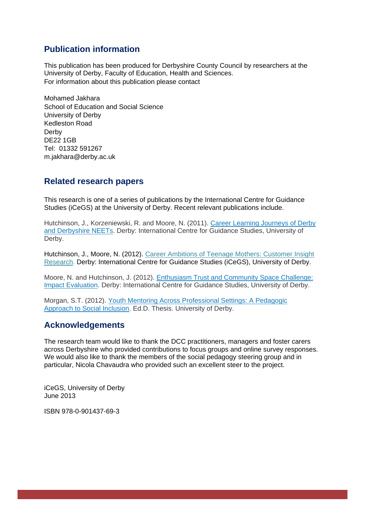## **Publication information**

This publication has been produced for Derbyshire County Council by researchers at the University of Derby, Faculty of Education, Health and Sciences. For information about this publication please contact

Mohamed Jakhara School of Education and Social Science University of Derby Kedleston Road Derby DE22 1GB Tel: 01332 591267 m.jakhara@derby.ac.uk

## **Related research papers**

This research is one of a series of publications by the International Centre for Guidance Studies (iCeGS) at the University of Derby. Recent relevant publications include.

Hutchinson, J., Korzeniewski, R. and Moore, N. (2011). Career Learning Journeys of Derby and Derbyshire NEETs. Derby: International Centre for Guidance Studies, University of Derby.

Hutchinson, J., Moore, N. (2012). Career Ambitions of Teenage Mothers: Customer Insight Research. Derby: International Centre for Guidance Studies (iCeGS), University of Derby.

Moore, N. and Hutchinson, J. (2012). Enthusiasm Trust and Community Space Challenge: Impact Evaluation. Derby: International Centre for Guidance Studies, University of Derby.

Morgan, S.T. (2012). Youth Mentoring Across Professional Settings: A Pedagogic Approach to Social Inclusion. Ed.D. Thesis. University of Derby.

## **Acknowledgements**

The research team would like to thank the DCC practitioners, managers and foster carers across Derbyshire who provided contributions to focus groups and online survey responses. We would also like to thank the members of the social pedagogy steering group and in particular, Nicola Chavaudra who provided such an excellent steer to the project.

iCeGS, University of Derby June 2013

ISBN 978-0-901437-69-3

 $\overline{a}$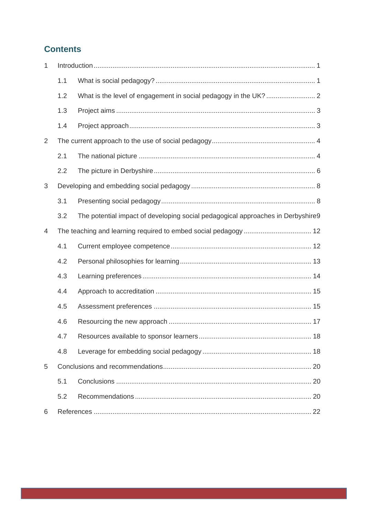## **Contents**

| $\mathbf{1}$ |     |                                                                                 |  |  |
|--------------|-----|---------------------------------------------------------------------------------|--|--|
|              | 1.1 |                                                                                 |  |  |
|              | 1.2 |                                                                                 |  |  |
|              | 1.3 |                                                                                 |  |  |
|              | 1.4 |                                                                                 |  |  |
| 2            |     |                                                                                 |  |  |
|              | 2.1 |                                                                                 |  |  |
|              | 2.2 |                                                                                 |  |  |
| 3            |     |                                                                                 |  |  |
|              | 3.1 |                                                                                 |  |  |
|              | 3.2 | The potential impact of developing social pedagogical approaches in Derbyshire9 |  |  |
| 4            |     |                                                                                 |  |  |
|              | 4.1 |                                                                                 |  |  |
|              | 4.2 |                                                                                 |  |  |
|              | 4.3 |                                                                                 |  |  |
|              | 4.4 |                                                                                 |  |  |
|              | 4.5 |                                                                                 |  |  |
|              | 4.6 |                                                                                 |  |  |
|              | 4.7 |                                                                                 |  |  |
|              | 4.8 |                                                                                 |  |  |
| 5            |     |                                                                                 |  |  |
|              | 5.1 |                                                                                 |  |  |
|              | 5.2 |                                                                                 |  |  |
| 6            |     |                                                                                 |  |  |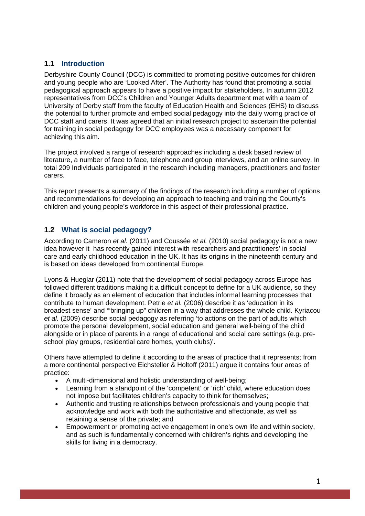## **1.1 Introduction**

Derbyshire County Council (DCC) is committed to promoting positive outcomes for children and young people who are 'Looked After'. The Authority has found that promoting a social pedagogical approach appears to have a positive impact for stakeholders. In autumn 2012 representatives from DCC's Children and Younger Adults department met with a team of University of Derby staff from the faculty of Education Health and Sciences (EHS) to discuss the potential to further promote and embed social pedagogy into the daily worng practice of DCC staff and carers. It was agreed that an initial research project to ascertain the potential for training in social pedagogy for DCC employees was a necessary component for achieving this aim.

The project involved a range of research approaches including a desk based review of literature, a number of face to face, telephone and group interviews, and an online survey. In total 209 Individuals participated in the research including managers, practitioners and foster carers.

This report presents a summary of the findings of the research including a number of options and recommendations for developing an approach to teaching and training the County's children and young people's workforce in this aspect of their professional practice.

## **1.2 What is social pedagogy?**

According to Cameron *et al.* (2011) and Coussée *et al.* (2010) social pedagogy is not a new idea however it has recently gained interest with researchers and practitioners' in social care and early childhood education in the UK. It has its origins in the nineteenth century and is based on ideas developed from continental Europe.

Lyons & Hueglar (2011) note that the development of social pedagogy across Europe has followed different traditions making it a difficult concept to define for a UK audience, so they define it broadly as an element of education that includes informal learning processes that contribute to human development. Petrie *et al.* (2006) describe it as 'education in its broadest sense' and '"bringing up" children in a way that addresses the whole child. Kyriacou *et al.* (2009) describe social pedagogy as referring 'to actions on the part of adults which promote the personal development, social education and general well-being of the child alongside or in place of parents in a range of educational and social care settings (e.g. preschool play groups, residential care homes, youth clubs)'.

Others have attempted to define it according to the areas of practice that it represents; from a more continental perspective Eichsteller & Holtoff (2011) argue it contains four areas of practice:

- A multi-dimensional and holistic understanding of well-being;
- Learning from a standpoint of the 'competent' or 'rich' child, where education does not impose but facilitates children's capacity to think for themselves;
- Authentic and trusting relationships between professionals and young people that acknowledge and work with both the authoritative and affectionate, as well as retaining a sense of the private; and
- Empowerment or promoting active engagement in one's own life and within society, and as such is fundamentally concerned with children's rights and developing the skills for living in a democracy.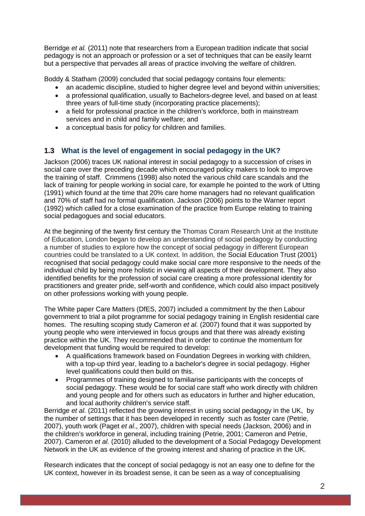Berridge *et al.* (2011) note that researchers from a European tradition indicate that social pedagogy is not an approach or profession or a set of techniques that can be easily learnt but a perspective that pervades all areas of practice involving the welfare of children.

Boddy & Statham (2009) concluded that social pedagogy contains four elements:

- an academic discipline, studied to higher degree level and beyond within universities;
- a professional qualification, usually to Bachelors-degree level, and based on at least three years of full-time study (incorporating practice placements);
- a field for professional practice in the children's workforce, both in mainstream services and in child and family welfare; and
- a conceptual basis for policy for children and families.

## **1.3 What is the level of engagement in social pedagogy in the UK?**

Jackson (2006) traces UK national interest in social pedagogy to a succession of crises in social care over the preceding decade which encouraged policy makers to look to improve the training of staff. Crimmens (1998) also noted the various child care scandals and the lack of training for people working in social care, for example he pointed to the work of Utting (1991) which found at the time that 20% care home managers had no relevant qualification and 70% of staff had no formal qualification. Jackson (2006) points to the Warner report (1992) which called for a close examination of the practice from Europe relating to training social pedagogues and social educators.

At the beginning of the twenty first century the Thomas Coram Research Unit at the Institute of Education, London began to develop an understanding of social pedagogy by conducting a number of studies to explore how the concept of social pedagogy in different European countries could be translated to a UK context. In addition, the Social Education Trust (2001) recognised that social pedagogy could make social care more responsive to the needs of the individual child by being more holistic in viewing all aspects of their development. They also identified benefits for the profession of social care creating a more professional identity for practitioners and greater pride, self-worth and confidence, which could also impact positively on other professions working with young people.

The White paper Care Matters (DfES, 2007) included a commitment by the then Labour government to trial a pilot programme for social pedagogy training in English residential care homes. The resulting scoping study Cameron *et al.* (2007) found that it was supported by young people who were interviewed in focus groups and that there was already existing practice within the UK. They recommended that in order to continue the momentum for development that funding would be required to develop:

- A qualifications framework based on Foundation Degrees in working with children, with a top-up third year, leading to a bachelor's degree in social pedagogy. Higher level qualifications could then build on this.
- Programmes of training designed to familiarise participants with the concepts of social pedagogy. These would be for social care staff who work directly with children and young people and for others such as educators in further and higher education, and local authority children's service staff.

Berridge *et al.* (2011) reflected the growing interest in using social pedagogy in the UK, by the number of settings that it has been developed in recently such as foster care (Petrie, 2007), youth work (Paget *et al*., 2007), children with special needs (Jackson, 2006) and in the children's workforce in general, including training (Petrie, 2001; Cameron and Petrie, 2007). Cameron *et al.* (2010) alluded to the development of a Social Pedagogy Development Network in the UK as evidence of the growing interest and sharing of practice in the UK.

Research indicates that the concept of social pedagogy is not an easy one to define for the UK context, however in its broadest sense, it can be seen as a way of conceptualising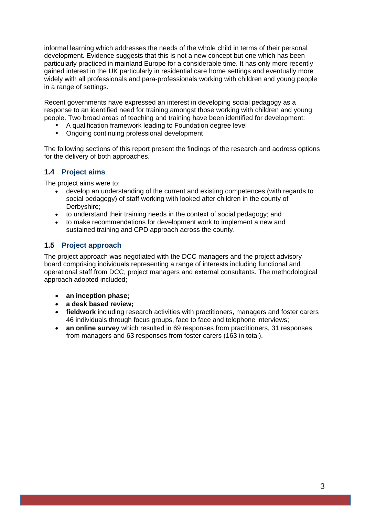informal learning which addresses the needs of the whole child in terms of their personal development. Evidence suggests that this is not a new concept but one which has been particularly practiced in mainland Europe for a considerable time. It has only more recently gained interest in the UK particularly in residential care home settings and eventually more widely with all professionals and para-professionals working with children and young people in a range of settings.

Recent governments have expressed an interest in developing social pedagogy as a response to an identified need for training amongst those working with children and young people. Two broad areas of teaching and training have been identified for development:

- A qualification framework leading to Foundation degree level
- Ongoing continuing professional development

The following sections of this report present the findings of the research and address options for the delivery of both approaches.

## **1.4 Project aims**

The project aims were to;

- develop an understanding of the current and existing competences (with regards to social pedagogy) of staff working with looked after children in the county of Derbyshire;
- to understand their training needs in the context of social pedagogy; and
- to make recommendations for development work to implement a new and sustained training and CPD approach across the county.

### **1.5 Project approach**

The project approach was negotiated with the DCC managers and the project advisory board comprising individuals representing a range of interests including functional and operational staff from DCC, project managers and external consultants. The methodological approach adopted included;

- **an inception phase;**
- **a desk based review;**
- **fieldwork** including research activities with practitioners, managers and foster carers 46 individuals through focus groups, face to face and telephone interviews;
- **an online survey** which resulted in 69 responses from practitioners, 31 responses from managers and 63 responses from foster carers (163 in total).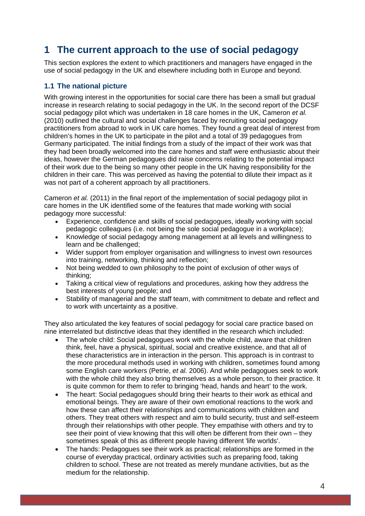## **1 The current approach to the use of social pedagogy**

This section explores the extent to which practitioners and managers have engaged in the use of social pedagogy in the UK and elsewhere including both in Europe and beyond.

## **1.1 The national picture**

With growing interest in the opportunities for social care there has been a small but gradual increase in research relating to social pedagogy in the UK. In the second report of the DCSF social pedagogy pilot which was undertaken in 18 care homes in the UK, Cameron *et al.* (2010) outlined the cultural and social challenges faced by recruiting social pedagogy practitioners from abroad to work in UK care homes. They found a great deal of interest from children's homes in the UK to participate in the pilot and a total of 39 pedagogues from Germany participated. The initial findings from a study of the impact of their work was that they had been broadly welcomed into the care homes and staff were enthusiastic about their ideas, however the German pedagogues did raise concerns relating to the potential impact of their work due to the being so many other people in the UK having responsibility for the children in their care. This was perceived as having the potential to dilute their impact as it was not part of a coherent approach by all practitioners.

Cameron *et al.* (2011) in the final report of the implementation of social pedagogy pilot in care homes in the UK identified some of the features that made working with social pedagogy more successful:

- Experience, confidence and skills of social pedagogues, ideally working with social pedagogic colleagues (i.e. not being the sole social pedagogue in a workplace);
- Knowledge of social pedagogy among management at all levels and willingness to learn and be challenged;
- Wider support from employer organisation and willingness to invest own resources into training, networking, thinking and reflection;
- Not being wedded to own philosophy to the point of exclusion of other ways of thinking;
- Taking a critical view of regulations and procedures, asking how they address the best interests of young people; and
- Stability of managerial and the staff team, with commitment to debate and reflect and to work with uncertainty as a positive.

They also articulated the key features of social pedagogy for social care practice based on nine interrelated but distinctive ideas that they identified in the research which included:

- The whole child: Social pedagogues work with the whole child, aware that children think, feel, have a physical, spiritual, social and creative existence, and that all of these characteristics are in interaction in the person. This approach is in contrast to the more procedural methods used in working with children, sometimes found among some English care workers (Petrie, *et al.* 2006). And while pedagogues seek to work with the whole child they also bring themselves as a whole person, to their practice. It is quite common for them to refer to bringing 'head, hands and heart' to the work.
- The heart: Social pedagogues should bring their hearts to their work as ethical and emotional beings. They are aware of their own emotional reactions to the work and how these can affect their relationships and communications with children and others. They treat others with respect and aim to build security, trust and self-esteem through their relationships with other people. They empathise with others and try to see their point of view knowing that this will often be different from their own – they sometimes speak of this as different people having different 'life worlds'.
- The hands: Pedagogues see their work as practical; relationships are formed in the course of everyday practical, ordinary activities such as preparing food, taking children to school. These are not treated as merely mundane activities, but as the medium for the relationship.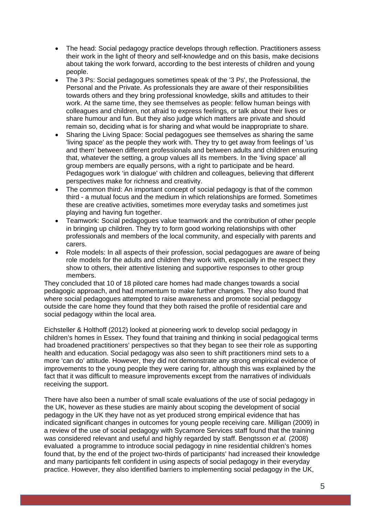- The head: Social pedagogy practice develops through reflection. Practitioners assess their work in the light of theory and self-knowledge and on this basis, make decisions about taking the work forward, according to the best interests of children and young people.
- The 3 Ps: Social pedagogues sometimes speak of the '3 Ps', the Professional, the Personal and the Private. As professionals they are aware of their responsibilities towards others and they bring professional knowledge, skills and attitudes to their work. At the same time, they see themselves as people: fellow human beings with colleagues and children, not afraid to express feelings, or talk about their lives or share humour and fun. But they also judge which matters are private and should remain so, deciding what is for sharing and what would be inappropriate to share.
- Sharing the Living Space: Social pedagogues see themselves as sharing the same 'living space' as the people they work with. They try to get away from feelings of 'us and them' between different professionals and between adults and children ensuring that, whatever the setting, a group values all its members. In the 'living space' all group members are equally persons, with a right to participate and be heard. Pedagogues work 'in dialogue' with children and colleagues, believing that different perspectives make for richness and creativity.
- The common third: An important concept of social pedagogy is that of the common third - a mutual focus and the medium in which relationships are formed. Sometimes these are creative activities, sometimes more everyday tasks and sometimes just playing and having fun together.
- Teamwork: Social pedagogues value teamwork and the contribution of other people in bringing up children. They try to form good working relationships with other professionals and members of the local community, and especially with parents and carers.
- Role models: In all aspects of their profession, social pedagogues are aware of being role models for the adults and children they work with, especially in the respect they show to others, their attentive listening and supportive responses to other group members.

They concluded that 10 of 18 piloted care homes had made changes towards a social pedagogic approach, and had momentum to make further changes. They also found that where social pedagogues attempted to raise awareness and promote social pedagogy outside the care home they found that they both raised the profile of residential care and social pedagogy within the local area.

Eichsteller & Holthoff (2012) looked at pioneering work to develop social pedagogy in children's homes in Essex. They found that training and thinking in social pedagogical terms had broadened practitioners' perspectives so that they began to see their role as supporting health and education. Social pedagogy was also seen to shift practitioners mind sets to a more 'can do' attitude. However, they did not demonstrate any strong empirical evidence of improvements to the young people they were caring for, although this was explained by the fact that it was difficult to measure improvements except from the narratives of individuals receiving the support.

There have also been a number of small scale evaluations of the use of social pedagogy in the UK, however as these studies are mainly about scoping the development of social pedagogy in the UK they have not as yet produced strong empirical evidence that has indicated significant changes in outcomes for young people receiving care. Milligan (2009) in a review of the use of social pedagogy with Sycamore Services staff found that the training was considered relevant and useful and highly regarded by staff. Bengtsson *et al.* (2008) evaluated a programme to introduce social pedagogy in nine residential children's homes found that, by the end of the project two-thirds of participants' had increased their knowledge and many participants felt confident in using aspects of social pedagogy in their everyday practice. However, they also identified barriers to implementing social pedagogy in the UK,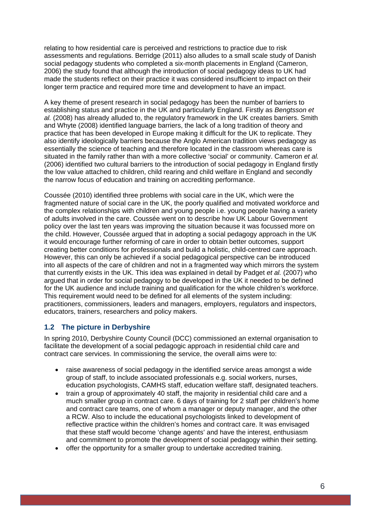relating to how residential care is perceived and restrictions to practice due to risk assessments and regulations. Berridge (2011) also alludes to a small scale study of Danish social pedagogy students who completed a six-month placements in England (Cameron, 2006) the study found that although the introduction of social pedagogy ideas to UK had made the students reflect on their practice it was considered insufficient to impact on their longer term practice and required more time and development to have an impact.

A key theme of present research in social pedagogy has been the number of barriers to establishing status and practice in the UK and particularly England. Firstly as *Bengtsson et al.* (2008) has already alluded to, the regulatory framework in the UK creates barriers. Smith and Whyte (2008) identified language barriers, the lack of a long tradition of theory and practice that has been developed in Europe making it difficult for the UK to replicate. They also identify ideologically barriers because the Anglo American tradition views pedagogy as essentially the science of teaching and therefore located in the classroom whereas care is situated in the family rather than with a more collective 'social' or community. Cameron *et al.* (2006) identified two cultural barriers to the introduction of social pedagogy in England firstly the low value attached to children, child rearing and child welfare in England and secondly the narrow focus of education and training on accrediting performance.

Coussée (2010) identified three problems with social care in the UK, which were the fragmented nature of social care in the UK, the poorly qualified and motivated workforce and the complex relationships with children and young people i.e. young people having a variety of adults involved in the care. Coussée went on to describe how UK Labour Government policy over the last ten years was improving the situation because it was focussed more on the child. However, Coussée argued that in adopting a social pedagogy approach in the UK it would encourage further reforming of care in order to obtain better outcomes, support creating better conditions for professionals and build a holistic, child-centred care approach. However, this can only be achieved if a social pedagogical perspective can be introduced into all aspects of the care of children and not in a fragmented way which mirrors the system that currently exists in the UK. This idea was explained in detail by Padget *et al.* (2007) who argued that in order for social pedagogy to be developed in the UK it needed to be defined for the UK audience and include training and qualification for the whole children's workforce. This requirement would need to be defined for all elements of the system including: practitioners, commissioners, leaders and managers, employers, regulators and inspectors, educators, trainers, researchers and policy makers.

## **1.2 The picture in Derbyshire**

In spring 2010, Derbyshire County Council (DCC) commissioned an external organisation to facilitate the development of a social pedagogic approach in residential child care and contract care services. In commissioning the service, the overall aims were to:

- raise awareness of social pedagogy in the identified service areas amongst a wide group of staff, to include associated professionals e.g. social workers, nurses, education psychologists, CAMHS staff, education welfare staff, designated teachers.
- train a group of approximately 40 staff, the majority in residential child care and a much smaller group in contract care. 6 days of training for 2 staff per children's home and contract care teams, one of whom a manager or deputy manager, and the other a RCW. Also to include the educational psychologists linked to development of reflective practice within the children's homes and contract care. It was envisaged that these staff would become 'change agents' and have the interest, enthusiasm and commitment to promote the development of social pedagogy within their setting.
- offer the opportunity for a smaller group to undertake accredited training.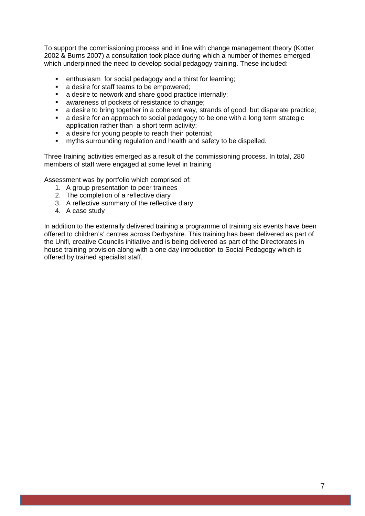To support the commissioning process and in line with change management theory (Kotter 2002 & Burns 2007) a consultation took place during which a number of themes emerged which underpinned the need to develop social pedagogy training. These included:

- enthusiasm for social pedagogy and a thirst for learning;
- a desire for staff teams to be empowered;
- a desire to network and share good practice internally;
- awareness of pockets of resistance to change;
- a desire to bring together in a coherent way, strands of good, but disparate practice;
- a desire for an approach to social pedagogy to be one with a long term strategic application rather than a short term activity;
- a desire for young people to reach their potential;
- myths surrounding regulation and health and safety to be dispelled.

Three training activities emerged as a result of the commissioning process. In total, 280 members of staff were engaged at some level in training

Assessment was by portfolio which comprised of:

- 1. A group presentation to peer trainees
- 2. The completion of a reflective diary
- 3. A reflective summary of the reflective diary
- 4. A case study

In addition to the externally delivered training a programme of training six events have been offered to children's' centres across Derbyshire. This training has been delivered as part of the Unifi, creative Councils initiative and is being delivered as part of the Directorates in house training provision along with a one day introduction to Social Pedagogy which is offered by trained specialist staff.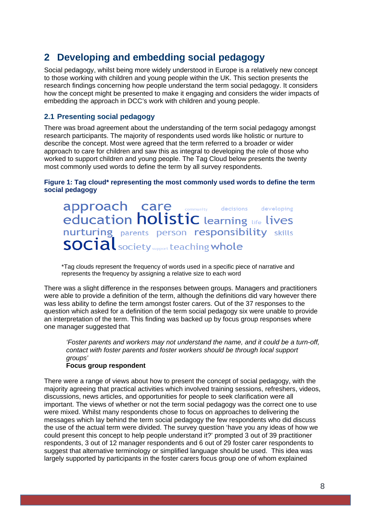## **2 Developing and embedding social pedagogy**

Social pedagogy, whilst being more widely understood in Europe is a relatively new concept to those working with children and young people within the UK. This section presents the research findings concerning how people understand the term social pedagogy. It considers how the concept might be presented to make it engaging and considers the wider impacts of embedding the approach in DCC's work with children and young people.

## **2.1 Presenting social pedagogy**

There was broad agreement about the understanding of the term social pedagogy amongst research participants. The majority of respondents used words like holistic or nurture to describe the concept. Most were agreed that the term referred to a broader or wider approach to care for children and saw this as integral to developing the role of those who worked to support children and young people. The Tag Cloud below presents the twenty most commonly used words to define the term by all survey respondents.

#### **Figure 1: Tag cloud\* representing the most commonly used words to define the term social pedagogy**

approach care community decisions developing education holistic learning life lives nurturing parents person responsibility skills **SOCIA** society support teaching whole

\*Tag clouds represent the frequency of words used in a specific piece of narrative and represents the frequency by assigning a relative size to each word

There was a slight difference in the responses between groups. Managers and practitioners were able to provide a definition of the term, although the definitions did vary however there was less ability to define the term amongst foster carers. Out of the 37 responses to the question which asked for a definition of the term social pedagogy six were unable to provide an interpretation of the term. This finding was backed up by focus group responses where one manager suggested that

*'Foster parents and workers may not understand the name, and it could be a turn-off, contact with foster parents and foster workers should be through local support groups'* 

## **Focus group respondent**

There were a range of views about how to present the concept of social pedagogy, with the majority agreeing that practical activities which involved training sessions, refreshers, videos, discussions, news articles, and opportunities for people to seek clarification were all important. The views of whether or not the term social pedagogy was the correct one to use were mixed. Whilst many respondents chose to focus on approaches to delivering the messages which lay behind the term social pedagogy the few respondents who did discuss the use of the actual term were divided. The survey question 'have you any ideas of how we could present this concept to help people understand it?' prompted 3 out of 39 practitioner respondents, 3 out of 12 manager respondents and 6 out of 29 foster carer respondents to suggest that alternative terminology or simplified language should be used. This idea was largely supported by participants in the foster carers focus group one of whom explained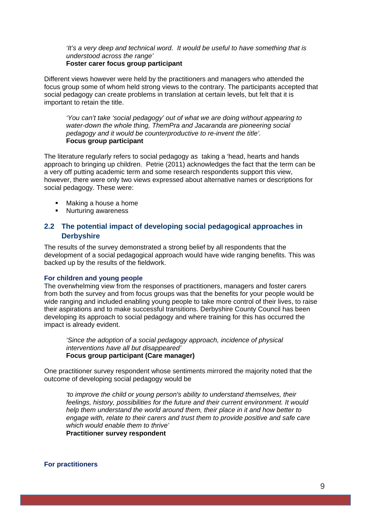*'It's a very deep and technical word. It would be useful to have something that is understood across the range'*  **Foster carer focus group participant** 

Different views however were held by the practitioners and managers who attended the focus group some of whom held strong views to the contrary. The participants accepted that social pedagogy can create problems in translation at certain levels, but felt that it is important to retain the title.

*'You can't take 'social pedagogy' out of what we are doing without appearing to water-down the whole thing, ThemPra and Jacaranda are pioneering social pedagogy and it would be counterproductive to re-invent the title'.*  **Focus group participant** 

The literature regularly refers to social pedagogy as taking a 'head, hearts and hands approach to bringing up children. Petrie (2011) acknowledges the fact that the term can be a very off putting academic term and some research respondents support this view, however, there were only two views expressed about alternative names or descriptions for social pedagogy. These were:

- Making a house a home
- **Nurturing awareness**

## **2.2 The potential impact of developing social pedagogical approaches in Derbyshire**

The results of the survey demonstrated a strong belief by all respondents that the development of a social pedagogical approach would have wide ranging benefits. This was backed up by the results of the fieldwork.

#### **For children and young people**

The overwhelming view from the responses of practitioners, managers and foster carers from both the survey and from focus groups was that the benefits for your people would be wide ranging and included enabling young people to take more control of their lives, to raise their aspirations and to make successful transitions. Derbyshire County Council has been developing its approach to social pedagogy and where training for this has occurred the impact is already evident.

*'Since the adoption of a social pedagogy approach, incidence of physical interventions have all but disappeared'*  **Focus group participant (Care manager)** 

One practitioner survey respondent whose sentiments mirrored the majority noted that the outcome of developing social pedagogy would be

*'to improve the child or young person's ability to understand themselves, their feelings, history, possibilities for the future and their current environment. It would help them understand the world around them, their place in it and how better to engage with, relate to their carers and trust them to provide positive and safe care which would enable them to thrive'*  **Practitioner survey respondent** 

#### **For practitioners**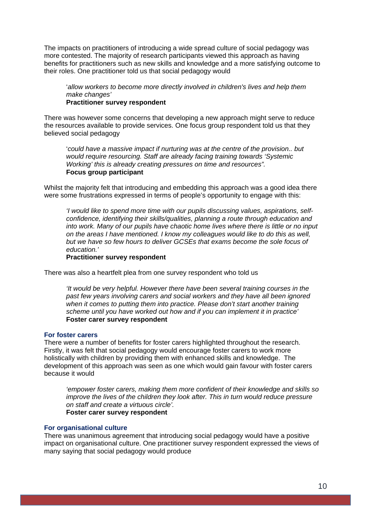The impacts on practitioners of introducing a wide spread culture of social pedagogy was more contested. The majority of research participants viewed this approach as having benefits for practitioners such as new skills and knowledge and a more satisfying outcome to their roles. One practitioner told us that social pedagogy would

'*allow workers to become more directly involved in children's lives and help them make changes'* 

#### **Practitioner survey respondent**

There was however some concerns that developing a new approach might serve to reduce the resources available to provide services. One focus group respondent told us that they believed social pedagogy

'*could have a massive impact if nurturing was at the centre of the provision.. but would require resourcing. Staff are already facing training towards 'Systemic Working' this is already creating pressures on time and resources".*  **Focus group participant** 

Whilst the majority felt that introducing and embedding this approach was a good idea there were some frustrations expressed in terms of people's opportunity to engage with this:

*'I would like to spend more time with our pupils discussing values, aspirations, selfconfidence, identifying their skills/qualities, planning a route through education and into work. Many of our pupils have chaotic home lives where there is little or no input on the areas I have mentioned. I know my colleagues would like to do this as well, but we have so few hours to deliver GCSEs that exams become the sole focus of education.'* 

#### **Practitioner survey respondent**

There was also a heartfelt plea from one survey respondent who told us

*'It would be very helpful. However there have been several training courses in the past few years involving carers and social workers and they have all been ignored when it comes to putting them into practice. Please don't start another training scheme until you have worked out how and if you can implement it in practice'*  **Foster carer survey respondent** 

#### **For foster carers**

There were a number of benefits for foster carers highlighted throughout the research. Firstly, it was felt that social pedagogy would encourage foster carers to work more holistically with children by providing them with enhanced skills and knowledge. The development of this approach was seen as one which would gain favour with foster carers because it would

*'empower foster carers, making them more confident of their knowledge and skills so improve the lives of the children they look after. This in turn would reduce pressure on staff and create a virtuous circle'.*  **Foster carer survey respondent** 

#### **For organisational culture**

There was unanimous agreement that introducing social pedagogy would have a positive impact on organisational culture. One practitioner survey respondent expressed the views of many saying that social pedagogy would produce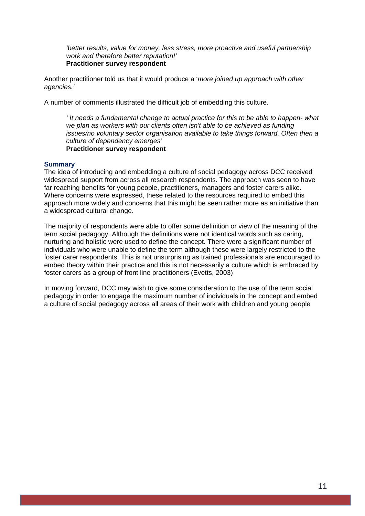*'better results, value for money, less stress, more proactive and useful partnership work and therefore better reputation!'*  **Practitioner survey respondent** 

Another practitioner told us that it would produce a '*more joined up approach with other agencies.'* 

A number of comments illustrated the difficult job of embedding this culture.

*' It needs a fundamental change to actual practice for this to be able to happen- what*  we plan as workers with our clients often isn't able to be achieved as funding *issues/no voluntary sector organisation available to take things forward. Often then a culture of dependency emerges'*  **Practitioner survey respondent** 

#### **Summary**

The idea of introducing and embedding a culture of social pedagogy across DCC received widespread support from across all research respondents. The approach was seen to have far reaching benefits for young people, practitioners, managers and foster carers alike. Where concerns were expressed, these related to the resources required to embed this approach more widely and concerns that this might be seen rather more as an initiative than a widespread cultural change.

The majority of respondents were able to offer some definition or view of the meaning of the term social pedagogy. Although the definitions were not identical words such as caring, nurturing and holistic were used to define the concept. There were a significant number of individuals who were unable to define the term although these were largely restricted to the foster carer respondents. This is not unsurprising as trained professionals are encouraged to embed theory within their practice and this is not necessarily a culture which is embraced by foster carers as a group of front line practitioners (Evetts, 2003)

In moving forward, DCC may wish to give some consideration to the use of the term social pedagogy in order to engage the maximum number of individuals in the concept and embed a culture of social pedagogy across all areas of their work with children and young people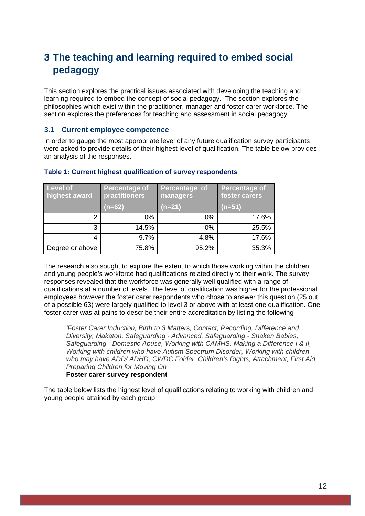# **3 The teaching and learning required to embed social pedagogy**

This section explores the practical issues associated with developing the teaching and learning required to embed the concept of social pedagogy. The section explores the philosophies which exist within the practitioner, manager and foster carer workforce. The section explores the preferences for teaching and assessment in social pedagogy.

#### **3.1 Current employee competence**

In order to gauge the most appropriate level of any future qualification survey participants were asked to provide details of their highest level of qualification. The table below provides an analysis of the responses.

| <b>Level of</b><br>highest award | <b>Percentage of</b><br>practitioners | Percentage of<br>managers | <b>Percentage of</b><br>foster carers |  |
|----------------------------------|---------------------------------------|---------------------------|---------------------------------------|--|
|                                  | $(n=62)$                              | $(n=21)$                  | $(n=51)$                              |  |
| 2                                | $0\%$                                 | 0%                        | 17.6%                                 |  |
| 3                                | 14.5%                                 | $0\%$                     | 25.5%                                 |  |
| 4                                | 9.7%                                  | 4.8%                      | 17.6%                                 |  |
| Degree or above                  | 75.8%                                 | 95.2%                     | 35.3%                                 |  |

#### **Table 1: Current highest qualification of survey respondents**

The research also sought to explore the extent to which those working within the children and young people's workforce had qualifications related directly to their work. The survey responses revealed that the workforce was generally well qualified with a range of qualifications at a number of levels. The level of qualification was higher for the professional employees however the foster carer respondents who chose to answer this question (25 out of a possible 63) were largely qualified to level 3 or above with at least one qualification. One foster carer was at pains to describe their entire accreditation by listing the following

*'Foster Carer Induction, Birth to 3 Matters, Contact, Recording, Difference and Diversity, Makaton, Safeguarding - Advanced, Safeguarding - Shaken Babies, Safeguarding - Domestic Abuse, Working with CAMHS, Making a Difference I & II, Working with children who have Autism Spectrum Disorder, Working with children who may have ADD/ ADHD, CWDC Folder, Children's Rights, Attachment, First Aid, Preparing Children for Moving On'*

#### **Foster carer survey respondent**

The table below lists the highest level of qualifications relating to working with children and young people attained by each group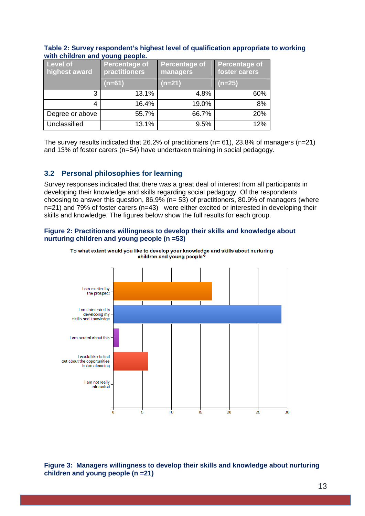| Level of<br>highest award | <b>Percentage of</b><br>practitioners<br>$(n=61)$ | <b>Percentage of</b><br>managers<br>$(n=21)$ | <b>Percentage of</b><br>foster carers<br>$(n=25)$ |  |
|---------------------------|---------------------------------------------------|----------------------------------------------|---------------------------------------------------|--|
| 3                         | 13.1%                                             | 4.8%                                         | 60%                                               |  |
| 4                         | 16.4%                                             | 19.0%                                        | 8%                                                |  |
| Degree or above           | 55.7%                                             | 66.7%                                        | 20%                                               |  |
| Unclassified              | 13.1%                                             | 9.5%                                         | 12%                                               |  |

#### **Table 2: Survey respondent's highest level of qualification appropriate to working with children and young people.**

The survey results indicated that 26.2% of practitioners ( $n=61$ ), 23.8% of managers ( $n=21$ ) and 13% of foster carers (n=54) have undertaken training in social pedagogy.

## **3.2 Personal philosophies for learning**

Survey responses indicated that there was a great deal of interest from all participants in developing their knowledge and skills regarding social pedagogy. Of the respondents choosing to answer this question,  $86.9\%$  (n= 53) of practitioners,  $80.9\%$  of managers (where n=21) and 79% of foster carers (n=43) were either excited or interested in developing their skills and knowledge. The figures below show the full results for each group.

#### **Figure 2: Practitioners willingness to develop their skills and knowledge about nurturing children and young people (n =53)**



To what extent would you like to develop your knowledge and skills about nurturing children and young people?

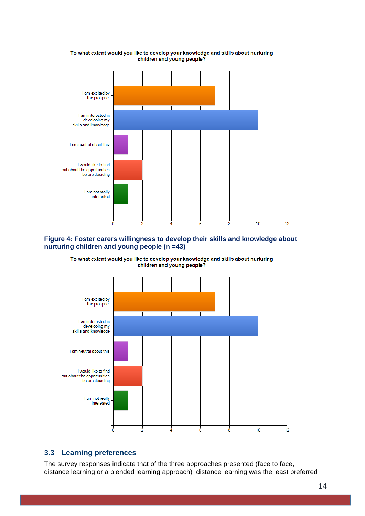

#### To what extent would you like to develop your knowledge and skills about nurturing children and young people?

#### **Figure 4: Foster carers willingness to develop their skills and knowledge about nurturing children and young people (n =43)**





## **3.3 Learning preferences**

The survey responses indicate that of the three approaches presented (face to face, distance learning or a blended learning approach) distance learning was the least preferred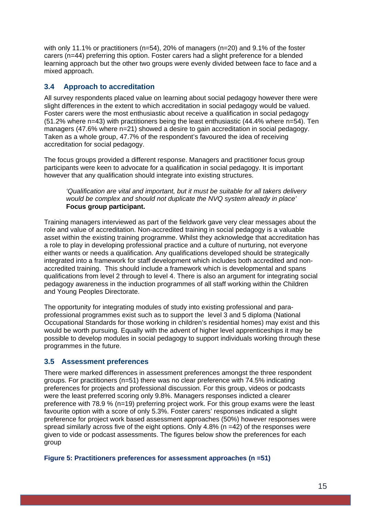with only 11.1% or practitioners (n=54), 20% of managers (n=20) and 9.1% of the foster carers (n=44) preferring this option. Foster carers had a slight preference for a blended learning approach but the other two groups were evenly divided between face to face and a mixed approach.

## **3.4 Approach to accreditation**

All survey respondents placed value on learning about social pedagogy however there were slight differences in the extent to which accreditation in social pedagogy would be valued. Foster carers were the most enthusiastic about receive a qualification in social pedagogy (51.2% where n=43) with practitioners being the least enthusiastic (44.4% where n=54). Ten managers (47.6% where n=21) showed a desire to gain accreditation in social pedagogy. Taken as a whole group, 47.7% of the respondent's favoured the idea of receiving accreditation for social pedagogy.

The focus groups provided a different response. Managers and practitioner focus group participants were keen to advocate for a qualification in social pedagogy. It is important however that any qualification should integrate into existing structures.

*'Qualification are vital and important, but it must be suitable for all takers delivery would be complex and should not duplicate the NVQ system already in place'*  **Focus group participant.** 

Training managers interviewed as part of the fieldwork gave very clear messages about the role and value of accreditation. Non-accredited training in social pedagogy is a valuable asset within the existing training programme. Whilst they acknowledge that accreditation has a role to play in developing professional practice and a culture of nurturing, not everyone either wants or needs a qualification. Any qualifications developed should be strategically integrated into a framework for staff development which includes both accredited and nonaccredited training. This should include a framework which is developmental and spans qualifications from level 2 through to level 4. There is also an argument for integrating social pedagogy awareness in the induction programmes of all staff working within the Children and Young Peoples Directorate.

The opportunity for integrating modules of study into existing professional and paraprofessional programmes exist such as to support the level 3 and 5 diploma (National Occupational Standards for those working in children's residential homes) may exist and this would be worth pursuing. Equally with the advent of higher level apprenticeships it may be possible to develop modules in social pedagogy to support individuals working through these programmes in the future.

## **3.5 Assessment preferences**

There were marked differences in assessment preferences amongst the three respondent groups. For practitioners (n=51) there was no clear preference with 74.5% indicating preferences for projects and professional discussion. For this group, videos or podcasts were the least preferred scoring only 9.8%. Managers responses indicted a clearer preference with 78.9 % (n=19) preferring project work. For this group exams were the least favourite option with a score of only 5.3%. Foster carers' responses indicated a slight preference for project work based assessment approaches (50%) however responses were spread similarly across five of the eight options. Only 4.8% (n =42) of the responses were given to vide or podcast assessments. The figures below show the preferences for each group

#### **Figure 5: Practitioners preferences for assessment approaches (n =51)**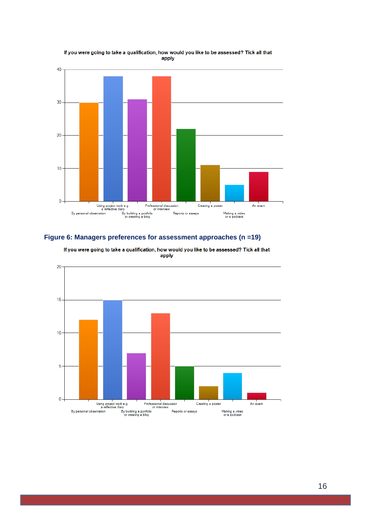

If you were going to take a qualification, how would you like to be assessed? Tick all that apply

#### **Figure 6: Managers preferences for assessment approaches (n =19)**

If you were going to take a qualification, how would you like to be assessed? Tick all that apply

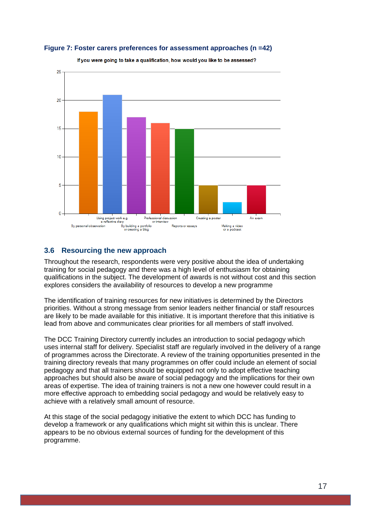#### **Figure 7: Foster carers preferences for assessment approaches (n =42)**



If you were going to take a qualification, how would you like to be assessed?

## **3.6 Resourcing the new approach**

Throughout the research, respondents were very positive about the idea of undertaking training for social pedagogy and there was a high level of enthusiasm for obtaining qualifications in the subject. The development of awards is not without cost and this section explores considers the availability of resources to develop a new programme

The identification of training resources for new initiatives is determined by the Directors priorities. Without a strong message from senior leaders neither financial or staff resources are likely to be made available for this initiative. It is important therefore that this initiative is lead from above and communicates clear priorities for all members of staff involved.

The DCC Training Directory currently includes an introduction to social pedagogy which uses internal staff for delivery. Specialist staff are regularly involved in the delivery of a range of programmes across the Directorate. A review of the training opportunities presented in the training directory reveals that many programmes on offer could include an element of social pedagogy and that all trainers should be equipped not only to adopt effective teaching approaches but should also be aware of social pedagogy and the implications for their own areas of expertise. The idea of training trainers is not a new one however could result in a more effective approach to embedding social pedagogy and would be relatively easy to achieve with a relatively small amount of resource.

At this stage of the social pedagogy initiative the extent to which DCC has funding to develop a framework or any qualifications which might sit within this is unclear. There appears to be no obvious external sources of funding for the development of this programme.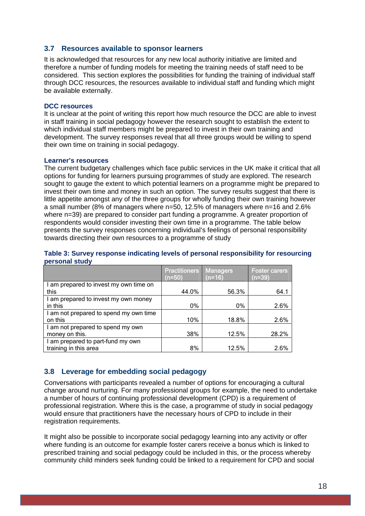### **3.7 Resources available to sponsor learners**

It is acknowledged that resources for any new local authority initiative are limited and therefore a number of funding models for meeting the training needs of staff need to be considered. This section explores the possibilities for funding the training of individual staff through DCC resources, the resources available to individual staff and funding which might be available externally.

#### **DCC resources**

It is unclear at the point of writing this report how much resource the DCC are able to invest in staff training in social pedagogy however the research sought to establish the extent to which individual staff members might be prepared to invest in their own training and development. The survey responses reveal that all three groups would be willing to spend their own time on training in social pedagogy.

#### **Learner's resources**

The current budgetary challenges which face public services in the UK make it critical that all options for funding for learners pursuing programmes of study are explored. The research sought to gauge the extent to which potential learners on a programme might be prepared to invest their own time and money in such an option. The survey results suggest that there is little appetite amongst any of the three groups for wholly funding their own training however a small number (8% of managers where n=50, 12.5% of managers where n=16 and 2.6% where n=39) are prepared to consider part funding a programme. A greater proportion of respondents would consider investing their own time in a programme. The table below presents the survey responses concerning individual's feelings of personal responsibility towards directing their own resources to a programme of study

#### **Table 3: Survey response indicating levels of personal responsibility for resourcing personal study**

|                                                            | <b>Practitioners</b><br>$(n=50)$ | <b>Managers</b><br>(n=16) | <b>Foster carers</b><br>$(n=39)$ |
|------------------------------------------------------------|----------------------------------|---------------------------|----------------------------------|
| I am prepared to invest my own time on<br>this             | 44.0%                            | 56.3%                     | 64.1                             |
| I am prepared to invest my own money<br>in this            | 0%                               | $0\%$                     | 2.6%                             |
| I am not prepared to spend my own time<br>on this          | 10%                              | 18.8%                     | 2.6%                             |
| I am not prepared to spend my own<br>money on this.        | 38%                              | 12.5%                     | 28.2%                            |
| I am prepared to part-fund my own<br>training in this area | 8%                               | 12.5%                     | 2.6%                             |

## **3.8 Leverage for embedding social pedagogy**

Conversations with participants revealed a number of options for encouraging a cultural change around nurturing. For many professional groups for example, the need to undertake a number of hours of continuing professional development (CPD) is a requirement of professional registration. Where this is the case, a programme of study in social pedagogy would ensure that practitioners have the necessary hours of CPD to include in their registration requirements.

It might also be possible to incorporate social pedagogy learning into any activity or offer where funding is an outcome for example foster carers receive a bonus which is linked to prescribed training and social pedagogy could be included in this, or the process whereby community child minders seek funding could be linked to a requirement for CPD and social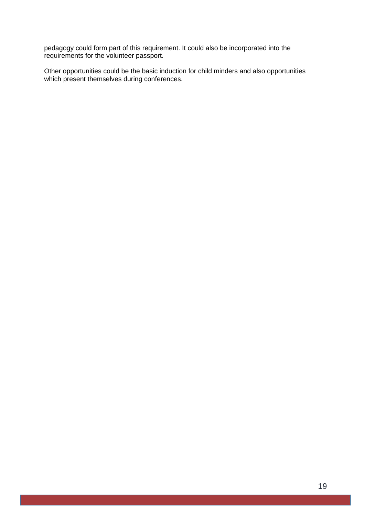pedagogy could form part of this requirement. It could also be incorporated into the requirements for the volunteer passport.

Other opportunities could be the basic induction for child minders and also opportunities which present themselves during conferences.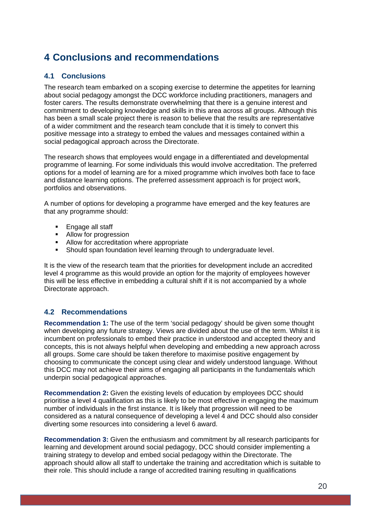## **4 Conclusions and recommendations**

## **4.1 Conclusions**

The research team embarked on a scoping exercise to determine the appetites for learning about social pedagogy amongst the DCC workforce including practitioners, managers and foster carers. The results demonstrate overwhelming that there is a genuine interest and commitment to developing knowledge and skills in this area across all groups. Although this has been a small scale project there is reason to believe that the results are representative of a wider commitment and the research team conclude that it is timely to convert this positive message into a strategy to embed the values and messages contained within a social pedagogical approach across the Directorate.

The research shows that employees would engage in a differentiated and developmental programme of learning. For some individuals this would involve accreditation. The preferred options for a model of learning are for a mixed programme which involves both face to face and distance learning options. The preferred assessment approach is for project work, portfolios and observations.

A number of options for developing a programme have emerged and the key features are that any programme should:

- **Engage all staff**
- **Allow for progression**
- Allow for accreditation where appropriate
- **Should span foundation level learning through to undergraduate level.**

It is the view of the research team that the priorities for development include an accredited level 4 programme as this would provide an option for the majority of employees however this will be less effective in embedding a cultural shift if it is not accompanied by a whole Directorate approach.

## **4.2 Recommendations**

**Recommendation 1:** The use of the term 'social pedagogy' should be given some thought when developing any future strategy. Views are divided about the use of the term. Whilst it is incumbent on professionals to embed their practice in understood and accepted theory and concepts, this is not always helpful when developing and embedding a new approach across all groups. Some care should be taken therefore to maximise positive engagement by choosing to communicate the concept using clear and widely understood language. Without this DCC may not achieve their aims of engaging all participants in the fundamentals which underpin social pedagogical approaches.

**Recommendation 2:** Given the existing levels of education by employees DCC should prioritise a level 4 qualification as this is likely to be most effective in engaging the maximum number of individuals in the first instance. It is likely that progression will need to be considered as a natural consequence of developing a level 4 and DCC should also consider diverting some resources into considering a level 6 award.

**Recommendation 3:** Given the enthusiasm and commitment by all research participants for learning and development around social pedagogy, DCC should consider implementing a training strategy to develop and embed social pedagogy within the Directorate. The approach should allow all staff to undertake the training and accreditation which is suitable to their role. This should include a range of accredited training resulting in qualifications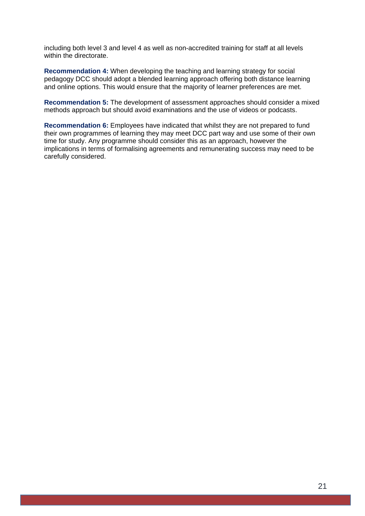including both level 3 and level 4 as well as non-accredited training for staff at all levels within the directorate.

**Recommendation 4:** When developing the teaching and learning strategy for social pedagogy DCC should adopt a blended learning approach offering both distance learning and online options. This would ensure that the majority of learner preferences are met.

**Recommendation 5:** The development of assessment approaches should consider a mixed methods approach but should avoid examinations and the use of videos or podcasts.

**Recommendation 6:** Employees have indicated that whilst they are not prepared to fund their own programmes of learning they may meet DCC part way and use some of their own time for study. Any programme should consider this as an approach, however the implications in terms of formalising agreements and remunerating success may need to be carefully considered.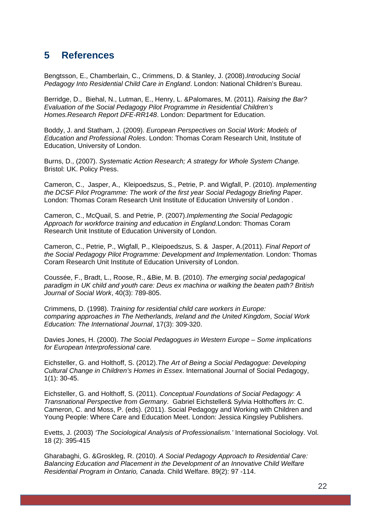## **5 References**

Bengtsson, E., Chamberlain, C., Crimmens, D. & Stanley, J. (2008).*Introducing Social Pedagogy Into Residential Child Care in England*. London: National Children's Bureau.

Berridge, D., Biehal, N., Lutman, E., Henry, L. &Palomares, M. (2011). *Raising the Bar? Evaluation of the Social Pedagogy Pilot Programme in Residential Children's Homes.Research Report DFE-RR148*. London: Department for Education.

Boddy, J. and Statham, J. (2009). *European Perspectives on Social Work: Models of Education and Professional Roles*. London: Thomas Coram Research Unit, Institute of Education, University of London.

Burns, D., (2007). *Systematic Action Research; A strategy for Whole System Change.* Bristol: UK. Policy Press.

Cameron, C., Jasper, A., Kleipoedszus, S., Petrie, P. and Wigfall, P. (2010). *Implementing the DCSF Pilot Programme: The work of the first year Social Pedagogy Briefing Paper*. London: Thomas Coram Research Unit Institute of Education University of London .

Cameron, C., McQuail, S. and Petrie, P. (2007).*Implementing the Social Pedagogic Approach for workforce training and education in England*.London: Thomas Coram Research Unit Institute of Education University of London.

Cameron, C., Petrie, P., Wigfall, P., Kleipoedszus, S. & Jasper, A.(2011). *Final Report of the Social Pedagogy Pilot Programme: Development and Implementation.* London: Thomas Coram Research Unit Institute of Education University of London.

Coussée, F., Bradt, L., Roose, R., &Bie, M. B. (2010). *The emerging social pedagogical paradigm in UK child and youth care: Deus ex machina or walking the beaten path? British Journal of Social Work*, 40(3): 789-805.

Crimmens, D. (1998). *Training for residential child care workers in Europe: comparing approaches in The Netherlands, Ireland and the United Kingdom*, *Social Work Education: The International Journal*, 17(3): 309-320.

Davies Jones, H. (2000). *The Social Pedagogues in Western Europe – Some implications for European Interprofessional care.* 

Eichsteller, G. and Holthoff, S. (2012).*The Art of Being a Social Pedagogue: Developing Cultural Change in Children's Homes in Essex*. International Journal of Social Pedagogy, 1(1): 30-45.

Eichsteller, G. and Holthoff, S. (2011). *Conceptual Foundations of Social Pedagogy: A Transnational Perspective from Germany*. Gabriel Eichsteller& Sylvia Holthoffers *In*: C. Cameron, C. and Moss, P. (eds). (2011). Social Pedagogy and Working with Children and Young People: Where Care and Education Meet. London: Jessica Kingsley Publishers.

Evetts, J. (2003) *'The Sociological Analysis of Professionalism.'* International Sociology. Vol. 18 (2): 395-415

Gharabaghi, G. &Groskleg, R. (2010). *A Social Pedagogy Approach to Residential Care: Balancing Education and Placement in the Development of an Innovative Child Welfare Residential Program in Ontario, Canada*. Child Welfare. 89(2): 97 -114.